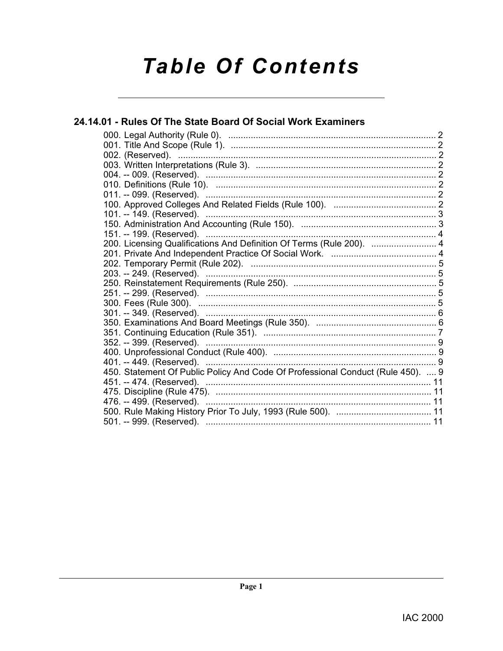# **Table Of Contents**

# 24.14.01 - Rules Of The State Board Of Social Work Examiners

| 200. Licensing Qualifications And Definition Of Terms (Rule 200).  4            |
|---------------------------------------------------------------------------------|
|                                                                                 |
|                                                                                 |
|                                                                                 |
|                                                                                 |
|                                                                                 |
|                                                                                 |
|                                                                                 |
|                                                                                 |
|                                                                                 |
|                                                                                 |
|                                                                                 |
|                                                                                 |
| 450. Statement Of Public Policy And Code Of Professional Conduct (Rule 450).  9 |
|                                                                                 |
|                                                                                 |
|                                                                                 |
|                                                                                 |
| 501. -- 999. (Reserved). …………………………………………………………………………… 11                       |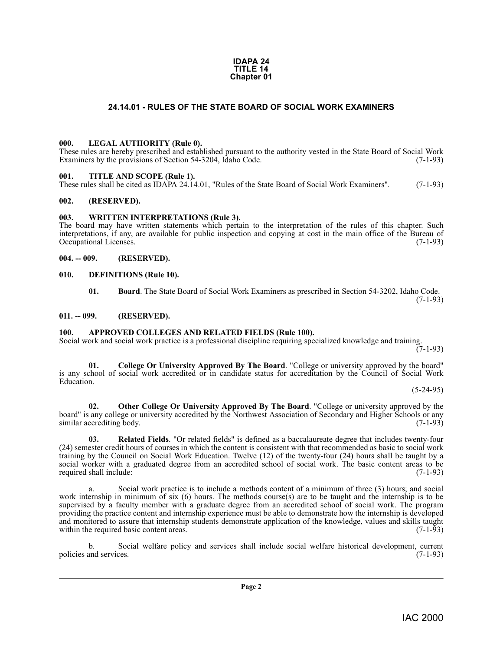#### **IDAPA 24 TITLE 14 Chapter 01**

#### **24.14.01 - RULES OF THE STATE BOARD OF SOCIAL WORK EXAMINERS**

#### <span id="page-1-13"></span><span id="page-1-1"></span><span id="page-1-0"></span>**000. LEGAL AUTHORITY (Rule 0).**

These rules are hereby prescribed and established pursuant to the authority vested in the State Board of Social Work Examiners by the provisions of Section 54-3204, Idaho Code. (7-1-93)

#### <span id="page-1-15"></span><span id="page-1-2"></span>**001. TITLE AND SCOPE (Rule 1).**

These rules shall be cited as IDAPA 24.14.01, "Rules of the State Board of Social Work Examiners". (7-1-93)

#### <span id="page-1-3"></span>**002. (RESERVED).**

#### <span id="page-1-16"></span><span id="page-1-4"></span>**003. WRITTEN INTERPRETATIONS (Rule 3).**

The board may have written statements which pertain to the interpretation of the rules of this chapter. Such interpretations, if any, are available for public inspection and copying at cost in the main office of the Bureau of Occupational Licenses. (7-1-93)

#### <span id="page-1-5"></span>**004. -- 009. (RESERVED).**

#### <span id="page-1-6"></span>**010. DEFINITIONS (Rule 10).**

<span id="page-1-12"></span><span id="page-1-10"></span>**01. Board**. The State Board of Social Work Examiners as prescribed in Section 54-3202, Idaho Code. (7-1-93)

#### <span id="page-1-7"></span>**011. -- 099. (RESERVED).**

#### <span id="page-1-9"></span><span id="page-1-8"></span>**100. APPROVED COLLEGES AND RELATED FIELDS (Rule 100).**

Social work and social work practice is a professional discipline requiring specialized knowledge and training.

 $(7-1-93)$ 

<span id="page-1-11"></span>**01. College Or University Approved By The Board**. "College or university approved by the board" is any school of social work accredited or in candidate status for accreditation by the Council of Social Work Education.

 $(5-24-95)$ 

<span id="page-1-14"></span>**02. Other College Or University Approved By The Board**. "College or university approved by the board" is any college or university accredited by the Northwest Association of Secondary and Higher Schools or any similar accrediting body. (7-1-93) similar accrediting body.

**03. Related Fields**. "Or related fields" is defined as a baccalaureate degree that includes twenty-four (24) semester credit hours of courses in which the content is consistent with that recommended as basic to social work training by the Council on Social Work Education. Twelve (12) of the twenty-four (24) hours shall be taught by a social worker with a graduated degree from an accredited school of social work. The basic content areas to be required shall include: (7-1-93) required shall include:

a. Social work practice is to include a methods content of a minimum of three (3) hours; and social work internship in minimum of six (6) hours. The methods course(s) are to be taught and the internship is to be supervised by a faculty member with a graduate degree from an accredited school of social work. The program providing the practice content and internship experience must be able to demonstrate how the internship is developed and monitored to assure that internship students demonstrate application of the knowledge, values and skills taught within the required basic content areas. within the required basic content areas.

b. Social welfare policy and services shall include social welfare historical development, current policies and services. (7-1-93)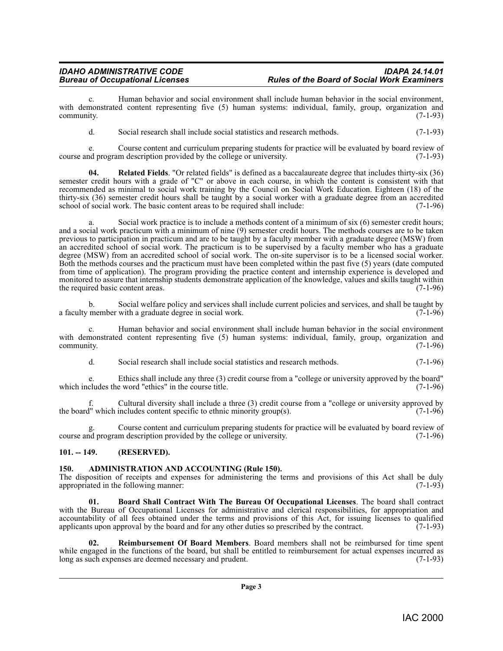### *IDAHO ADMINISTRATIVE CODE IDAPA 24.14.01 Rules of the Board of Social Work Examiners*

c. Human behavior and social environment shall include human behavior in the social environment, with demonstrated content representing five (5) human systems: individual, family, group, organization and community. (7-1-93) community.  $(7-1-93)$ 

d. Social research shall include social statistics and research methods. (7-1-93)

e. Course content and curriculum preparing students for practice will be evaluated by board review of nd program description provided by the college or university. course and program description provided by the college or university.

**04. Related Fields**. "Or related fields" is defined as a baccalaureate degree that includes thirty-six (36) semester credit hours with a grade of "C" or above in each course, in which the content is consistent with that recommended as minimal to social work training by the Council on Social Work Education. Eighteen (18) of the thirty-six (36) semester credit hours shall be taught by a social worker with a graduate degree from an accredited school of social work. The basic content areas to be required shall include: (7-1-96) school of social work. The basic content areas to be required shall include:

a. Social work practice is to include a methods content of a minimum of six (6) semester credit hours; and a social work practicum with a minimum of nine (9) semester credit hours. The methods courses are to be taken previous to participation in practicum and are to be taught by a faculty member with a graduate degree (MSW) from an accredited school of social work. The practicum is to be supervised by a faculty member who has a graduate degree (MSW) from an accredited school of social work. The on-site supervisor is to be a licensed social worker. Both the methods courses and the practicum must have been completed within the past five (5) years (date computed from time of application). The program providing the practice content and internship experience is developed and monitored to assure that internship students demonstrate application of the knowledge, values and skills taught within the required basic content areas. (7-1-96)

b. Social welfare policy and services shall include current policies and services, and shall be taught by a faculty member with a graduate degree in social work.

Human behavior and social environment shall include human behavior in the social environment with demonstrated content representing five (5) human systems: individual, family, group, organization and community. (7-1-96)  $\epsilon$  community.  $(7-1-96)$ 

d. Social research shall include social statistics and research methods. (7-1-96)

e. Ethics shall include any three (3) credit course from a "college or university approved by the board" which includes the word "ethics" in the course title.

f. Cultural diversity shall include a three (3) credit course from a "college or university approved by the board" which includes content specific to ethnic minority group(s).  $(7-1-96)$ 

g. Course content and curriculum preparing students for practice will be evaluated by board review of course and program description provided by the college or university. (7-1-96)

#### <span id="page-2-0"></span>**101. -- 149. (RESERVED).**

#### <span id="page-2-2"></span><span id="page-2-1"></span>**150. ADMINISTRATION AND ACCOUNTING (Rule 150).**

The disposition of receipts and expenses for administering the terms and provisions of this Act shall be duly appropriated in the following manner: (7-1-93)

<span id="page-2-3"></span>**01. Board Shall Contract With The Bureau Of Occupational Licenses**. The board shall contract with the Bureau of Occupational Licenses for administrative and clerical responsibilities, for appropriation and accountability of all fees obtained under the terms and provisions of this Act, for issuing licenses to qualified applicants upon approval by the board and for any other duties so prescribed by the contract. (7-1-93) applicants upon approval by the board and for any other duties so prescribed by the contract.

<span id="page-2-4"></span>**02. Reimbursement Of Board Members**. Board members shall not be reimbursed for time spent while engaged in the functions of the board, but shall be entitled to reimbursement for actual expenses incurred as long as such expenses are deemed necessary and prudent. (7-1-93) long as such expenses are deemed necessary and prudent.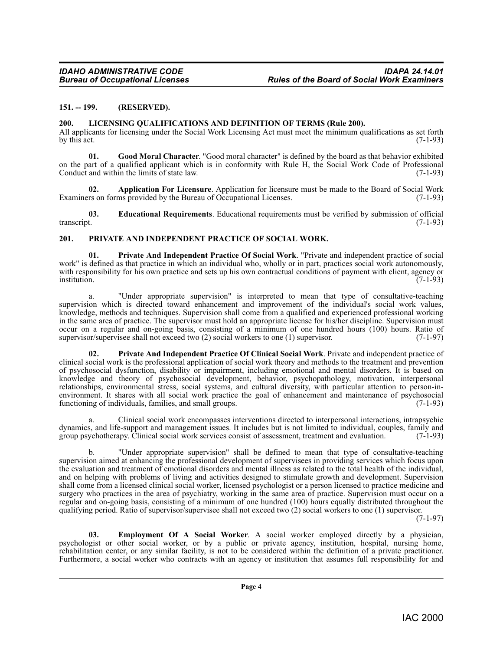#### <span id="page-3-0"></span>**151. -- 199. (RESERVED).**

#### <span id="page-3-7"></span><span id="page-3-1"></span>**200. LICENSING QUALIFICATIONS AND DEFINITION OF TERMS (Rule 200).**

All applicants for licensing under the Social Work Licensing Act must meet the minimum qualifications as set forth by this act. (7-1-93) by this act.  $(7-1-93)$ 

<span id="page-3-6"></span>**01. Good Moral Character**. "Good moral character" is defined by the board as that behavior exhibited on the part of a qualified applicant which is in conformity with Rule H, the Social Work Code of Professional Conduct and within the limits of state law. (7-1-93)

<span id="page-3-3"></span>**Application For Licensure**. Application for licensure must be made to the Board of Social Work ms provided by the Bureau of Occupational Licenses. (7-1-93) Examiners on forms provided by the Bureau of Occupational Licenses.

<span id="page-3-4"></span>**03. Educational Requirements**. Educational requirements must be verified by submission of official transcript. (7-1-93)

#### <span id="page-3-9"></span><span id="page-3-2"></span>**201. PRIVATE AND INDEPENDENT PRACTICE OF SOCIAL WORK.**

**01. Private And Independent Practice Of Social Work**. "Private and independent practice of social work" is defined as that practice in which an individual who, wholly or in part, practices social work autonomously, with responsibility for his own practice and sets up his own contractual conditions of payment with client, agency or<br>(7-1-93) institution. (7-1-93)

a. "Under appropriate supervision" is interpreted to mean that type of consultative-teaching supervision which is directed toward enhancement and improvement of the individual's social work values, knowledge, methods and techniques. Supervision shall come from a qualified and experienced professional working in the same area of practice. The supervisor must hold an appropriate license for his/her discipline. Supervision must occur on a regular and on-going basis, consisting of a minimum of one hundred hours (100) hours. Ratio of supervisor/supervises shall not exceed two (2) social workers to one (1) supervisor. (7-1-97) supervisor/supervisee shall not exceed two  $(2)$  social workers to one  $(1)$  supervisor.

<span id="page-3-8"></span>**02. Private And Independent Practice Of Clinical Social Work**. Private and independent practice of clinical social work is the professional application of social work theory and methods to the treatment and prevention of psychosocial dysfunction, disability or impairment, including emotional and mental disorders. It is based on knowledge and theory of psychosocial development, behavior, psychopathology, motivation, interpersonal relationships, environmental stress, social systems, and cultural diversity, with particular attention to person-inenvironment. It shares with all social work practice the goal of enhancement and maintenance of psychosocial functioning of individuals, families, and small groups. (7-1-93) functioning of individuals, families, and small groups.

a. Clinical social work encompasses interventions directed to interpersonal interactions, intrapsychic dynamics, and life-support and management issues. It includes but is not limited to individual, couples, family and group psychotherapy. Clinical social work services consist of assessment, treatment and evaluation. (7-1-93)

b. "Under appropriate supervision" shall be defined to mean that type of consultative-teaching supervision aimed at enhancing the professional development of supervisees in providing services which focus upon the evaluation and treatment of emotional disorders and mental illness as related to the total health of the individual, and on helping with problems of living and activities designed to stimulate growth and development. Supervision shall come from a licensed clinical social worker, licensed psychologist or a person licensed to practice medicine and surgery who practices in the area of psychiatry, working in the same area of practice. Supervision must occur on a regular and on-going basis, consisting of a minimum of one hundred (100) hours equally distributed throughout the qualifying period. Ratio of supervisor/supervisee shall not exceed two (2) social workers to one (1) supervisor.

(7-1-97)

<span id="page-3-5"></span>**03. Employment Of A Social Worker**. A social worker employed directly by a physician, psychologist or other social worker, or by a public or private agency, institution, hospital, nursing home, rehabilitation center, or any similar facility, is not to be considered within the definition of a private practitioner. Furthermore, a social worker who contracts with an agency or institution that assumes full responsibility for and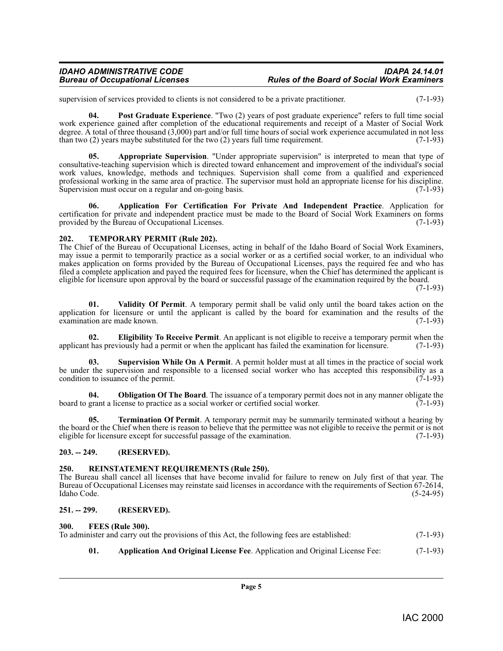#### *IDAHO ADMINISTRATIVE CODE IDAPA 24.14.01 Rules of the Board of Social Work Examiners*

supervision of services provided to clients is not considered to be a private practitioner. (7-1-93)

<span id="page-4-11"></span>**04. Post Graduate Experience**. "Two (2) years of post graduate experience" refers to full time social work experience gained after completion of the educational requirements and receipt of a Master of Social Work degree. A total of three thousand (3,000) part and/or full time hours of social work experience accumulated in not less than two  $(2)$  years maybe substituted for the two  $(2)$  years full time requirement.  $(7-1-93)$ 

<span id="page-4-7"></span>**05. Appropriate Supervision**. "Under appropriate supervision" is interpreted to mean that type of consultative-teaching supervision which is directed toward enhancement and improvement of the individual's social work values, knowledge, methods and techniques. Supervision shall come from a qualified and experienced professional working in the same area of practice. The supervisor must hold an appropriate license for his discipline.<br>Supervision must occur on a regular and on-going basis. (7-1-93) Supervision must occur on a regular and on-going basis.

<span id="page-4-6"></span>**06. Application For Certification For Private And Independent Practice**. Application for certification for private and independent practice must be made to the Board of Social Work Examiners on forms provided by the Bureau of Occupational Licenses. (7-1-93)

#### <span id="page-4-14"></span><span id="page-4-0"></span>**202. TEMPORARY PERMIT (Rule 202).**

The Chief of the Bureau of Occupational Licenses, acting in behalf of the Idaho Board of Social Work Examiners, may issue a permit to temporarily practice as a social worker or as a certified social worker, to an individual who makes application on forms provided by the Bureau of Occupational Licenses, pays the required fee and who has filed a complete application and payed the required fees for licensure, when the Chief has determined the applicant is eligible for licensure upon approval by the board or successful passage of the examination required by the board.

 $(7-1-93)$ 

<span id="page-4-16"></span>**01. Validity Of Permit**. A temporary permit shall be valid only until the board takes action on the application for licensure or until the applicant is called by the board for examination and the results of the examination are made known.  $(7-1-93)$ examination are made known.

<span id="page-4-8"></span>**02. Eligibility To Receive Permit**. An applicant is not eligible to receive a temporary permit when the thas previously had a permit or when the applicant has failed the examination for licensure. (7-1-93) applicant has previously had a permit or when the applicant has failed the examination for licensure.

<span id="page-4-13"></span>**03. Supervision While On A Permit**. A permit holder must at all times in the practice of social work be under the supervision and responsible to a licensed social worker who has accepted this responsibility as a condition to issuance of the permit. (7-1-93) condition to issuance of the permit.

<span id="page-4-10"></span>**04. Obligation Of The Board**. The issuance of a temporary permit does not in any manner obligate the grant a license to practice as a social worker or certified social worker. (7-1-93) board to grant a license to practice as a social worker or certified social worker.

<span id="page-4-15"></span>**05. Termination Of Permit**. A temporary permit may be summarily terminated without a hearing by the board or the Chief when there is reason to believe that the permittee was not eligible to receive the permit or is not eligible for licensure except for successful passage of the examination. (7-1-93)

#### <span id="page-4-1"></span>**203. -- 249. (RESERVED).**

#### <span id="page-4-12"></span><span id="page-4-2"></span>**250. REINSTATEMENT REQUIREMENTS (Rule 250).**

The Bureau shall cancel all licenses that have become invalid for failure to renew on July first of that year. The Bureau of Occupational Licenses may reinstate said licenses in accordance with the requirements of Section 67-2614, Idaho Code. (5-24-95) Idaho Code. (5-24-95)

#### <span id="page-4-3"></span>**251. -- 299. (RESERVED).**

#### <span id="page-4-9"></span><span id="page-4-4"></span>**300. FEES (Rule 300).**

To administer and carry out the provisions of this Act, the following fees are established: (7-1-93)

<span id="page-4-5"></span>**01. Application And Original License Fee**. Application and Original License Fee: (7-1-93)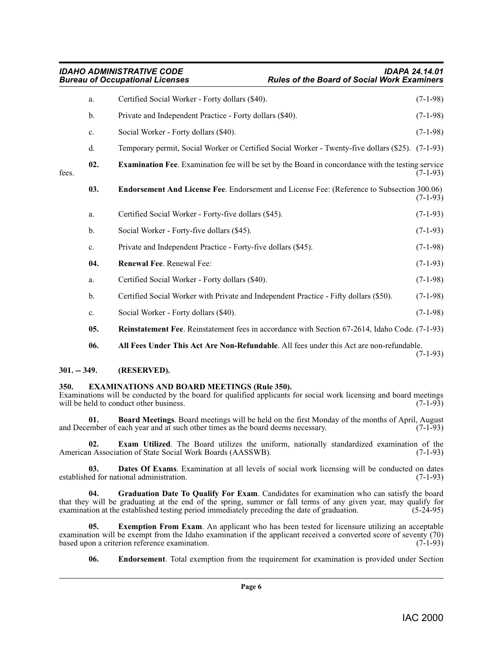<span id="page-5-8"></span><span id="page-5-6"></span>

|       | a.  | Certified Social Worker - Forty dollars (\$40).                                                          | $(7-1-98)$ |
|-------|-----|----------------------------------------------------------------------------------------------------------|------------|
|       | b.  | Private and Independent Practice - Forty dollars (\$40).                                                 | $(7-1-98)$ |
|       | c.  | Social Worker - Forty dollars (\$40).                                                                    | $(7-1-98)$ |
|       | d.  | Temporary permit, Social Worker or Certified Social Worker - Twenty-five dollars (\$25). (7-1-93)        |            |
| fees. | 02. | <b>Examination Fee.</b> Examination fee will be set by the Board in concordance with the testing service | $(7-1-93)$ |
|       | 03. | Endorsement And License Fee. Endorsement and License Fee: (Reference to Subsection 300.06)               | $(7-1-93)$ |
|       | a.  | Certified Social Worker - Forty-five dollars (\$45).                                                     | $(7-1-93)$ |
|       | b.  | Social Worker - Forty-five dollars (\$45).                                                               | $(7-1-93)$ |
|       | c.  | Private and Independent Practice - Forty-five dollars (\$45).                                            | $(7-1-98)$ |
|       | 04. | Renewal Fee. Renewal Fee:                                                                                | $(7-1-93)$ |
|       | a.  | Certified Social Worker - Forty dollars (\$40).                                                          | $(7-1-98)$ |
|       | b.  | Certified Social Worker with Private and Independent Practice - Fifty dollars (\$50).                    | $(7-1-98)$ |
|       | c.  | Social Worker - Forty dollars (\$40).                                                                    | $(7-1-98)$ |
|       | 05. | <b>Reinstatement Fee.</b> Reinstatement fees in accordance with Section 67-2614, Idaho Code. (7-1-93)    |            |
|       | 06. | All Fees Under This Act Are Non-Refundable. All fees under this Act are non-refundable.                  | $(7-1-93)$ |

#### <span id="page-5-13"></span><span id="page-5-12"></span><span id="page-5-2"></span><span id="page-5-0"></span>**301. -- 349. (RESERVED).**

#### <span id="page-5-9"></span><span id="page-5-1"></span>**350. EXAMINATIONS AND BOARD MEETINGS (Rule 350).**

Examinations will be conducted by the board for qualified applicants for social work licensing and board meetings will be held to conduct other business. (7-1-93) will be held to conduct other business.

<span id="page-5-3"></span>**01. Board Meetings**. Board meetings will be held on the first Monday of the months of April, August ember of each vear and at such other times as the board deems necessary. (7-1-93) and December of each year and at such other times as the board deems necessary.

<span id="page-5-7"></span>**02. Exam Utilized**. The Board utilizes the uniform, nationally standardized examination of the n Association of State Social Work Boards (AASSWB). (7-1-93) American Association of State Social Work Boards (AASSWB).

<span id="page-5-4"></span>**03. Dates Of Exams**. Examination at all levels of social work licensing will be conducted on dates ed for national administration. (7-1-93) established for national administration.

<span id="page-5-11"></span>**04. Graduation Date To Qualify For Exam**. Candidates for examination who can satisfy the board that they will be graduating at the end of the spring, summer or fall terms of any given year, may qualify for examination at the established testing period immediately preceding the date of graduation. (5-24-95) examination at the established testing period immediately preceding the date of graduation.

**05. Exemption From Exam**. An applicant who has been tested for licensure utilizing an acceptable examination will be exempt from the Idaho examination if the applicant received a converted score of seventy (70) based upon a criterion reference examination.  $(7-1-93)$ based upon a criterion reference examination.

<span id="page-5-10"></span><span id="page-5-5"></span>**06. Endorsement**. Total exemption from the requirement for examination is provided under Section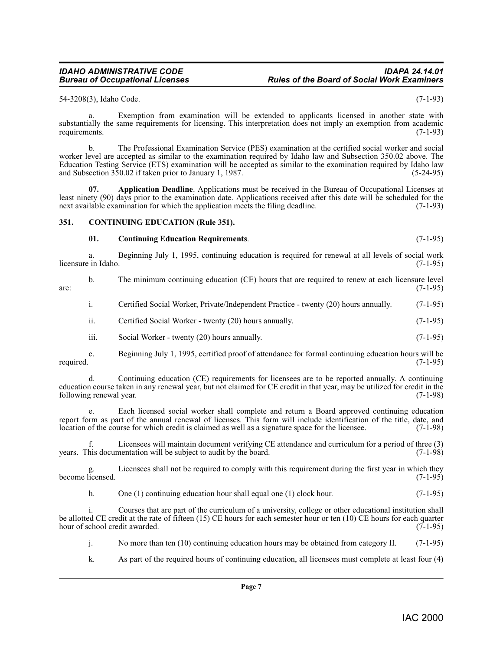#### *IDAHO ADMINISTRATIVE CODE IDAPA 24.14.01 Rules of the Board of Social Work Examiners*

54-3208(3), Idaho Code. (7-1-93)

Exemption from examination will be extended to applicants licensed in another state with substantially the same requirements for licensing. This interpretation does not imply an exemption from academic requirements. (7-1-93)

b. The Professional Examination Service (PES) examination at the certified social worker and social worker level are accepted as similar to the examination required by Idaho law and Subsection 350.02 above. The Education Testing Service (ETS) examination will be accepted as similar to the examination required by Idaho law and Subsection 350.02 if taken prior to January 1, 1987. (5-24-95)

<span id="page-6-1"></span>**07. Application Deadline**. Applications must be received in the Bureau of Occupational Licenses at least ninety (90) days prior to the examination date. Applications received after this date will be scheduled for the next available examination for which the application meets the filing deadline. (7-1-93) next available examination for which the application meets the filing deadline.

#### <span id="page-6-0"></span>**351. CONTINUING EDUCATION (Rule 351).**

#### <span id="page-6-3"></span><span id="page-6-2"></span>**01. Continuing Education Requirements**. (7-1-95)

a. Beginning July 1, 1995, continuing education is required for renewal at all levels of social work in Idaho. (7-1-95) licensure in Idaho.

b. The minimum continuing education (CE) hours that are required to renew at each licensure level (7-1-95) are:  $(7-1-95)$ 

i. Certified Social Worker, Private/Independent Practice - twenty (20) hours annually. (7-1-95)

ii. Certified Social Worker - twenty (20) hours annually. (7-1-95)

iii. Social Worker - twenty (20) hours annually. (7-1-95)

c. Beginning July 1, 1995, certified proof of attendance for formal continuing education hours will be required. (7-1-95)

d. Continuing education (CE) requirements for licensees are to be reported annually. A continuing education course taken in any renewal year, but not claimed for CE credit in that year, may be utilized for credit in the following renewal year. (7-1-98)

Each licensed social worker shall complete and return a Board approved continuing education report form as part of the annual renewal of licenses. This form will include identification of the title, date, and location of the course for which credit is claimed as well as a signature space for the licensee. (7-1-98 location of the course for which credit is claimed as well as a signature space for the licensee.

Licensees will maintain document verifying CE attendance and curriculum for a period of three (3) mentation will be subject to audit by the board. (7-1-98) years. This documentation will be subject to audit by the board.

Licensees shall not be required to comply with this requirement during the first year in which they  $(7-1-95)$ become licensed.

h. One (1) continuing education hour shall equal one (1) clock hour. (7-1-95)

i. Courses that are part of the curriculum of a university, college or other educational institution shall be allotted CE credit at the rate of fifteen (15) CE hours for each semester hour or ten (10) CE hours for each quarter hour of school credit awarded. (7-1-95) hour of school credit awarded.

j. No more than ten (10) continuing education hours may be obtained from category II. (7-1-95)

k. As part of the required hours of continuing education, all licensees must complete at least four (4)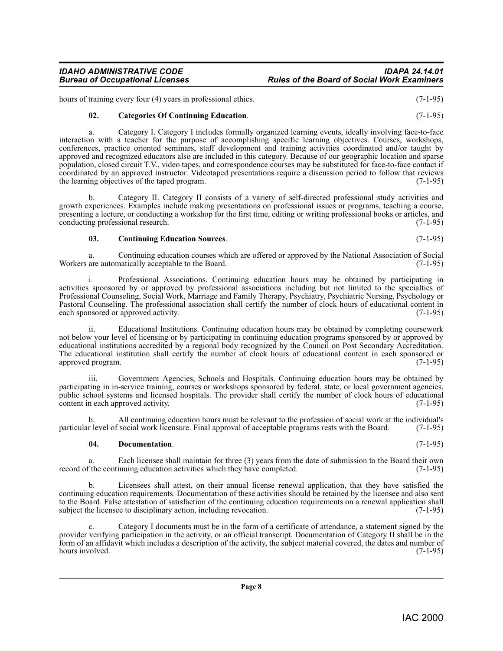hours of training every four (4) years in professional ethics. (7-1-95)

#### <span id="page-7-0"></span>**02. Categories Of Continuing Education**. (7-1-95)

a. Category I. Category I includes formally organized learning events, ideally involving face-to-face interaction with a teacher for the purpose of accomplishing specific learning objectives. Courses, workshops, conferences, practice oriented seminars, staff development and training activities coordinated and/or taught by approved and recognized educators also are included in this category. Because of our geographic location and sparse population, closed circuit T.V., video tapes, and correspondence courses may be substituted for face-to-face contact if coordinated by an approved instructor. Videotaped presentations require a discussion period to follow that reviews the learning objectives of the taped program. the learning objectives of the taped program.

b. Category II. Category II consists of a variety of self-directed professional study activities and growth experiences. Examples include making presentations on professional issues or programs, teaching a course, presenting a lecture, or conducting a workshop for the first time, editing or writing professional books or articles, and conducting professional research. (7-1-95)

#### <span id="page-7-1"></span>**03. Continuing Education Sources**. (7-1-95)

a. Continuing education courses which are offered or approved by the National Association of Social Workers are automatically acceptable to the Board. (7-1-95)

i. Professional Associations. Continuing education hours may be obtained by participating in activities sponsored by or approved by professional associations including but not limited to the specialties of Professional Counseling, Social Work, Marriage and Family Therapy, Psychiatry, Psychiatric Nursing, Psychology or Pastoral Counseling. The professional association shall certify the number of clock hours of educational content in each sponsored or approved activity. (7-1-95) each sponsored or approved activity.

ii. Educational Institutions. Continuing education hours may be obtained by completing coursework not below your level of licensing or by participating in continuing education programs sponsored by or approved by educational institutions accredited by a regional body recognized by the Council on Post Secondary Accreditation. The educational institution shall certify the number of clock hours of educational content in each sponsored or approved program. (7-1-95) approved program.

iii. Government Agencies, Schools and Hospitals. Continuing education hours may be obtained by participating in in-service training, courses or workshops sponsored by federal, state, or local government agencies, public school systems and licensed hospitals. The provider shall certify the number of clock hours of educational content in each approved activity. content in each approved activity.

All continuing education hours must be relevant to the profession of social work at the individual's social work licensure. Final approval of acceptable programs rests with the Board. (7-1-95) particular level of social work licensure. Final approval of acceptable programs rests with the Board.

#### <span id="page-7-2"></span>**04. Documentation**. (7-1-95)

a. Each licensee shall maintain for three (3) years from the date of submission to the Board their own f the continuing education activities which they have completed. (7-1-95) record of the continuing education activities which they have completed.

b. Licensees shall attest, on their annual license renewal application, that they have satisfied the continuing education requirements. Documentation of these activities should be retained by the licensee and also sent to the Board. False attestation of satisfaction of the continuing education requirements on a renewal application shall subject the licensee to disciplinary action, including revocation. subject the licensee to disciplinary action, including revocation.

c. Category I documents must be in the form of a certificate of attendance, a statement signed by the provider verifying participation in the activity, or an official transcript. Documentation of Category II shall be in the form of an affidavit which includes a description of the activity, the subject material covered, the dates and number of hours involved.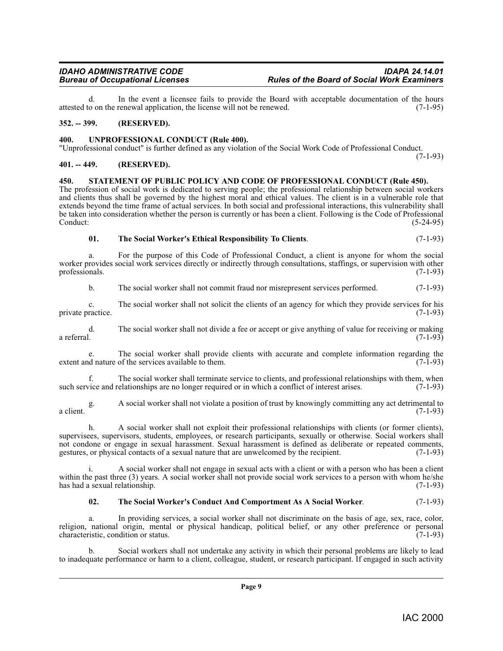d. In the event a licensee fails to provide the Board with acceptable documentation of the hours o on the renewal application, the license will not be renewed.  $(7-1-95)$ attested to on the renewal application, the license will not be renewed.

#### <span id="page-8-0"></span>**352. -- 399. (RESERVED).**

#### <span id="page-8-7"></span><span id="page-8-1"></span>**400. UNPROFESSIONAL CONDUCT (Rule 400).**

"Unprofessional conduct" is further defined as any violation of the Social Work Code of Professional Conduct. (7-1-93)

#### <span id="page-8-4"></span><span id="page-8-2"></span>**401. -- 449. (RESERVED).**

<span id="page-8-3"></span>**450. STATEMENT OF PUBLIC POLICY AND CODE OF PROFESSIONAL CONDUCT (Rule 450).** The profession of social work is dedicated to serving people; the professional relationship between social workers and clients thus shall be governed by the highest moral and ethical values. The client is in a vulnerable role that extends beyond the time frame of actual services. In both social and professional interactions, this vulnerability shall be taken into consideration whether the person is currently or has been a client. Following is the Code of Professional Conduct: (5-24-95)

<span id="page-8-6"></span>

| 01. | The Social Worker's Ethical Responsibility To Clients. | $(7-1-93)$ |
|-----|--------------------------------------------------------|------------|
|-----|--------------------------------------------------------|------------|

a. For the purpose of this Code of Professional Conduct, a client is anyone for whom the social worker provides social work services directly or indirectly through consultations, staffings, or supervision with other professionals. (7-1-93) professionals. (7-1-93)

b. The social worker shall not commit fraud nor misrepresent services performed. (7-1-93)

c. The social worker shall not solicit the clients of an agency for which they provide services for his private practice.

d. The social worker shall not divide a fee or accept or give anything of value for receiving or making a referral.  $(7-1-93)$ 

e. The social worker shall provide clients with accurate and complete information regarding the distance of the services available to them. (7-1-93) extent and nature of the services available to them.

f. The social worker shall terminate service to clients, and professional relationships with them, when vice and relationships are no longer required or in which a conflict of interest arises. (7-1-93) such service and relationships are no longer required or in which a conflict of interest arises.

g. A social worker shall not violate a position of trust by knowingly committing any act detrimental to a client.  $(7-1-93)$ 

h. A social worker shall not exploit their professional relationships with clients (or former clients), supervisees, supervisors, students, employees, or research participants, sexually or otherwise. Social workers shall not condone or engage in sexual harassment. Sexual harassment is defined as deliberate or repeated comments, gestures, or physical contacts of a sexual nature that are unwelcomed by the recipient. (7-1-93) gestures, or physical contacts of a sexual nature that are unwelcomed by the recipient.

i. A social worker shall not engage in sexual acts with a client or with a person who has been a client within the past three (3) years. A social worker shall not provide social work services to a person with whom he/she has had a sexual relationship. (7-1-93)

#### <span id="page-8-5"></span>**02. The Social Worker's Conduct And Comportment As A Social Worker**. (7-1-93)

In providing services, a social worker shall not discriminate on the basis of age, sex, race, color, religion, national origin, mental or physical handicap, political belief, or any other preference or personal characteristic condition or status. characteristic, condition or status.

b. Social workers shall not undertake any activity in which their personal problems are likely to lead to inadequate performance or harm to a client, colleague, student, or research participant. If engaged in such activity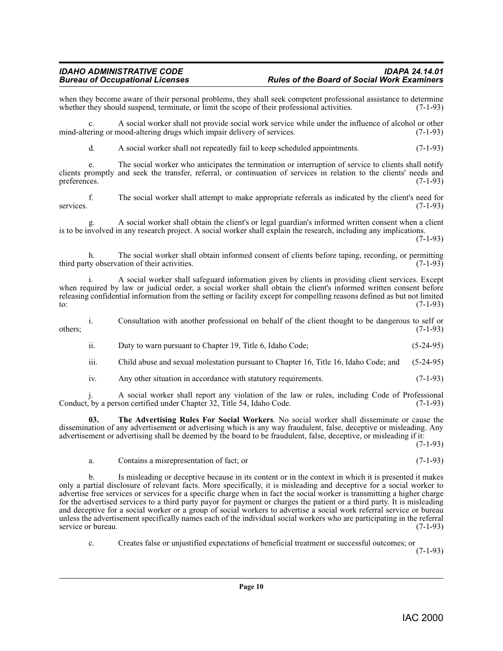when they become aware of their personal problems, they shall seek competent professional assistance to determine<br>whether they should suspend, terminate, or limit the scope of their professional activities. (7-1-93) whether they should suspend, terminate, or limit the scope of their professional activities.

c. A social worker shall not provide social work service while under the influence of alcohol or other ering or mood-altering drugs which impair delivery of services. (7-1-93) mind-altering or mood-altering drugs which impair delivery of services.

d. A social worker shall not repeatedly fail to keep scheduled appointments. (7-1-93)

e. The social worker who anticipates the termination or interruption of service to clients shall notify clients promptly and seek the transfer, referral, or continuation of services in relation to the clients' needs and preferences. (7-1-93)

f. The social worker shall attempt to make appropriate referrals as indicated by the client's need for  $(7-1-93)$ services. (7-1-93)

g. A social worker shall obtain the client's or legal guardian's informed written consent when a client is to be involved in any research project. A social worker shall explain the research, including any implications.

(7-1-93)

h. The social worker shall obtain informed consent of clients before taping, recording, or permitting ty observation of their activities. (7-1-93) third party observation of their activities.

i. A social worker shall safeguard information given by clients in providing client services. Except when required by law or judicial order, a social worker shall obtain the client's informed written consent before releasing confidential information from the setting or facility except for compelling reasons defined as but not limited to: to:  $(7-1-93)$ 

i. Consultation with another professional on behalf of the client thought to be dangerous to self or  $\omega$  others;  $(7-1-93)$ 

ii. Duty to warn pursuant to Chapter 19, Title 6, Idaho Code; (5-24-95)

iii. Child abuse and sexual molestation pursuant to Chapter 16, Title 16, Idaho Code; and (5-24-95)

<span id="page-9-0"></span>iv. Any other situation in accordance with statutory requirements. (7-1-93)

j. A social worker shall report any violation of the law or rules, including Code of Professional Conduct, by a person certified under Chapter 32, Title 54, Idaho Code.

**03. The Advertising Rules For Social Workers**. No social worker shall disseminate or cause the dissemination of any advertisement or advertising which is any way fraudulent, false, deceptive or misleading. Any advertisement or advertising shall be deemed by the board to be fraudulent, false, deceptive, or misleading if it:

(7-1-93)

a. Contains a misrepresentation of fact; or (7-1-93)

b. Is misleading or deceptive because in its content or in the context in which it is presented it makes only a partial disclosure of relevant facts. More specifically, it is misleading and deceptive for a social worker to advertise free services or services for a specific charge when in fact the social worker is transmitting a higher charge for the advertised services to a third party payor for payment or charges the patient or a third party. It is misleading and deceptive for a social worker or a group of social workers to advertise a social work referral service or bureau unless the advertisement specifically names each of the individual social workers who are participating in the referral service or bureau. (7-1-93) service or bureau.

c. Creates false or unjustified expectations of beneficial treatment or successful outcomes; or

(7-1-93)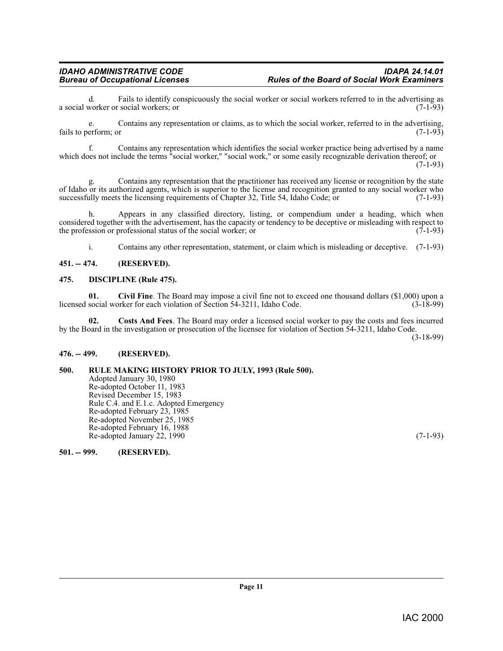d. Fails to identify conspicuously the social worker or social workers referred to in the advertising as a social worker or social workers; or

e. Contains any representation or claims, as to which the social worker, referred to in the advertising, erform or fails to perform; or

f. Contains any representation which identifies the social worker practice being advertised by a name which does not include the terms "social worker," "social work," or some easily recognizable derivation thereof; or

 $(7-1-93)$ 

g. Contains any representation that the practitioner has received any license or recognition by the state of Idaho or its authorized agents, which is superior to the license and recognition granted to any social worker who successfully meets the licensing requirements of Chapter 32. Title 54, Idaho Code: or (7-1-93) successfully meets the licensing requirements of Chapter 32, Title 54, Idaho Code; or

h. Appears in any classified directory, listing, or compendium under a heading, which when considered together with the advertisement, has the capacity or tendency to be deceptive or misleading with respect to the profession or professional status of the social worker; or (7-1-93) the profession or professional status of the social worker; or

<span id="page-10-7"></span><span id="page-10-5"></span>i. Contains any other representation, statement, or claim which is misleading or deceptive. (7-1-93)

#### <span id="page-10-0"></span>**451. -- 474. (RESERVED).**

#### <span id="page-10-1"></span>**475. DISCIPLINE (Rule 475).**

**01.** Civil Fine. The Board may impose a civil fine not to exceed one thousand dollars (\$1,000) upon a social worker for each violation of Section 54-3211. Idaho Code. (3-18-99) licensed social worker for each violation of Section 54-3211, Idaho Code.

<span id="page-10-6"></span>**02. Costs And Fees**. The Board may order a licensed social worker to pay the costs and fees incurred by the Board in the investigation or prosecution of the licensee for violation of Section 54-3211, Idaho Code.

(3-18-99)

#### <span id="page-10-2"></span>**476. -- 499. (RESERVED).**

### <span id="page-10-3"></span>**500. RULE MAKING HISTORY PRIOR TO JULY, 1993 (Rule 500).**

<span id="page-10-8"></span>Adopted January 30, 1980 Re-adopted October 11, 1983 Revised December 15, 1983 Rule C.4. and E.1.c. Adopted Emergency Re-adopted February 23, 1985 Re-adopted November 25, 1985 Re-adopted February 16, 1988 Re-adopted January 22, 1990 (7-1-93)

<span id="page-10-4"></span>**501. -- 999. (RESERVED).**